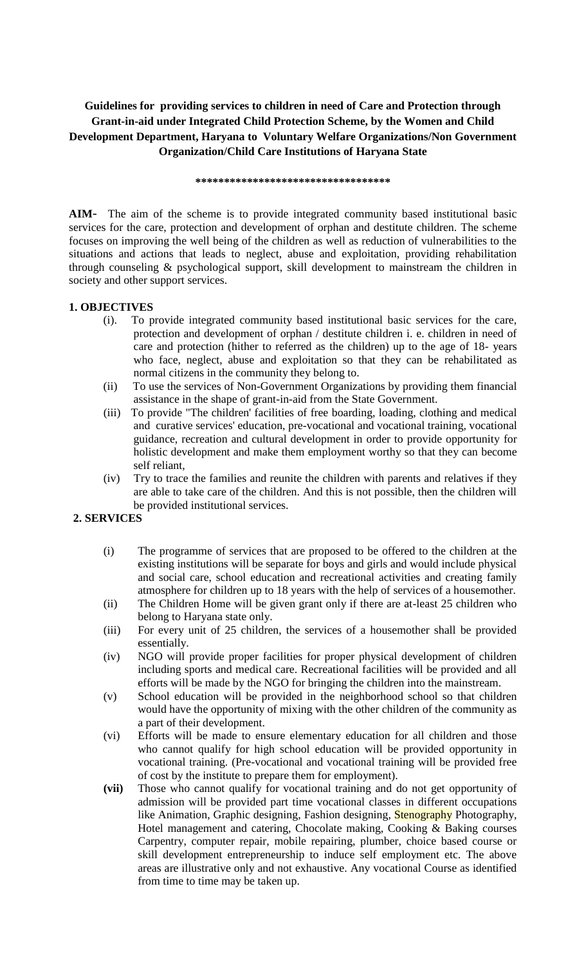# Guidelines for providing services to children in need of Care and Protection through  **Organization/Child Care Institutions of Haryana State \*\*\*\*\*\*\*\*\*\*\*\*\*\*\*\*\*\*\*\*\*\*\*\*\*\*\*\*\*\*\*\*\*\***  Grant-in-aid under Integrated Child Protection Scheme, by the Women and Child **Development Department, Haryana to Voluntary Welfare Organizations/Non Government**

 **AIM**- The aim of the scheme is to provide integrated community based institutional basic services for the care, protection and development of orphan and destitute children. The scheme focuses on improving the well being of the children as well as reduction of vulnerabilities to the situations and actions that leads to neglect, abuse and exploitation, providing rehabilitation through counseling & psychological support, skill development to mainstream the children in society and other support services.

## **1. OBJECTIVES**

- care and protection (hither to referred as the children) up to the age of 18- years who face, neglect, abuse and exploitation so that they can be rehabilitated as normal citizens in the community they belong to. (i). To provide integrated community based institutional basic services for the care, protection and development of orphan / destitute children i. e. children in need of
- (ii) To use the services of Non-Government Organizations by providing them financial assistance in the shape of grant-in-aid from the State Government.
- $(iii)$  guidance, recreation and cultural development in order to provide opportunity for holistic development and make them employment worthy so that they can become To provide "The children' facilities of free boarding, loading, clothing and medical and curative services' education, pre-vocational and vocational training, vocational self reliant,
- are able to take care of the children. And this is not possible, then the children will (iv) Try to trace the families and reunite the children with parents and relatives if they be provided institutional services.

## **2. SERVICES**

- (i) The programme of services that are proposed to be offered to the children at the existing institutions will be separate for boys and girls and would include physical and social care, school education and recreational activities and creating family atmosphere for children up to 18 years with the help of services of a housemother.
- (ii) The Children Home will be given grant only if there are at-least 25 children who belong to Haryana state only.
- (iii) For every unit of 25 children, the services of a housemother shall be provided essentially.
- (iv) NGO will provide proper facilities for proper physical development of children including sports and medical care. Recreational facilities will be provided and all efforts will be made by the NGO for bringing the children into the mainstream.
- (v) School education will be provided in the neighborhood school so that children would have the opportunity of mixing with the other children of the community as a part of their development.
- (vi) Efforts will be made to ensure elementary education for all children and those who cannot qualify for high school education will be provided opportunity in vocational training. (Pre-vocational and vocational training will be provided free of cost by the institute to prepare them for employment).
- **(vii)** Those who cannot qualify for vocational training and do not get opportunity of admission will be provided part time vocational classes in different occupations Hotel management and catering, Chocolate making, Cooking & Baking courses skill development entrepreneurship to induce self employment etc. The above areas are illustrative only and not exhaustive. Any vocational Course as identified like Animation, Graphic designing, Fashion designing, Stenography Photography, Carpentry, computer repair, mobile repairing, plumber, choice based course or from time to time may be taken up.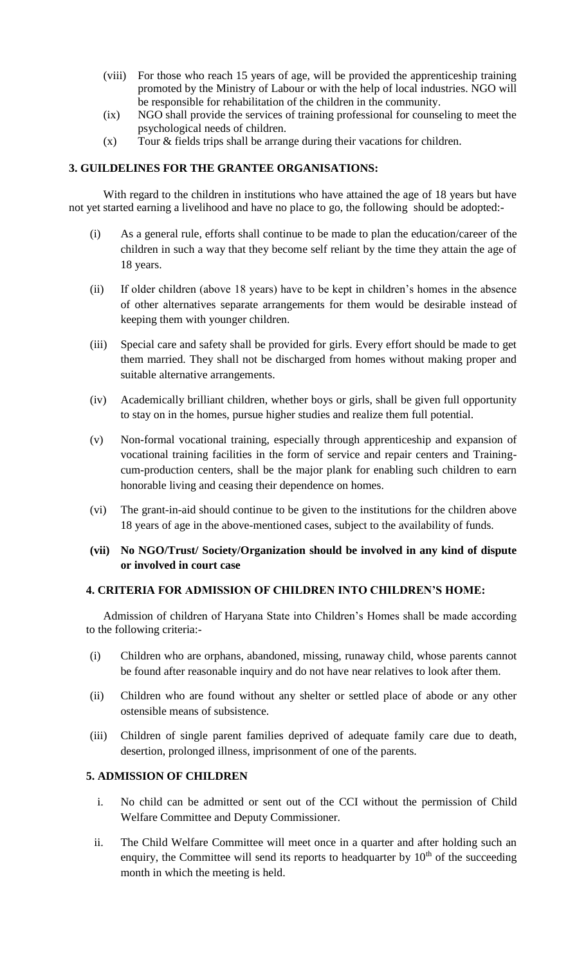- (viii) For those who reach 15 years of age, will be provided the apprenticeship training promoted by the Ministry of Labour or with the help of local industries. NGO will be responsible for rehabilitation of the children in the community.
- (ix) NGO shall provide the services of training professional for counseling to meet the psychological needs of children.
- (x) Tour & fields trips shall be arrange during their vacations for children.

## **3. GUILDELINES FOR THE GRANTEE ORGANISATIONS:**

 not yet started earning a livelihood and have no place to go, the following should be adopted:- With regard to the children in institutions who have attained the age of 18 years but have

- (i) As a general rule, efforts shall continue to be made to plan the education/career of the children in such a way that they become self reliant by the time they attain the age of 18 years.
- (ii) If older children (above 18 years) have to be kept in children's homes in the absence of other alternatives separate arrangements for them would be desirable instead of keeping them with younger children.
- (iii) Special care and safety shall be provided for girls. Every effort should be made to get them married. They shall not be discharged from homes without making proper and suitable alternative arrangements.
- (iv) Academically brilliant children, whether boys or girls, shall be given full opportunity to stay on in the homes, pursue higher studies and realize them full potential.
- (v) Non-formal vocational training, especially through apprenticeship and expansion of vocational training facilities in the form of service and repair centers and Training- cum-production centers, shall be the major plank for enabling such children to earn honorable living and ceasing their dependence on homes.
- (vi) The grant-in-aid should continue to be given to the institutions for the children above 18 years of age in the above-mentioned cases, subject to the availability of funds.
- **(vii) No NGO/Trust/ Society/Organization should be involved in any kind of dispute or involved in court case**

## **4. CRITERIA FOR ADMISSION OF CHILDREN INTO CHILDREN'S HOME:**

 Admission of children of Haryana State into Children's Homes shall be made according to the following criteria:-

- (i) Children who are orphans, abandoned, missing, runaway child, whose parents cannot be found after reasonable inquiry and do not have near relatives to look after them.
- (ii) Children who are found without any shelter or settled place of abode or any other ostensible means of subsistence.
- (iii) Children of single parent families deprived of adequate family care due to death, desertion, prolonged illness, imprisonment of one of the parents.

# **5. ADMISSION OF CHILDREN**

- i. No child can be admitted or sent out of the CCI without the permission of Child Welfare Committee and Deputy Commissioner.
- ii. The Child Welfare Committee will meet once in a quarter and after holding such an enquiry, the Committee will send its reports to headquarter by  $10<sup>th</sup>$  of the succeeding month in which the meeting is held.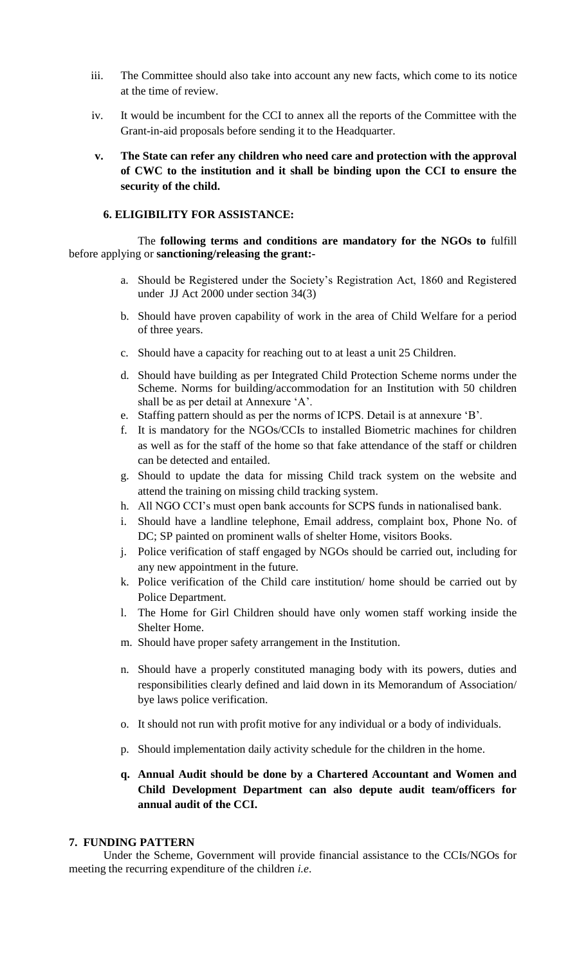- iii. The Committee should also take into account any new facts, which come to its notice at the time of review.
- iv. It would be incumbent for the CCI to annex all the reports of the Committee with the Grant-in-aid proposals before sending it to the Headquarter.
- **of CWC to the institution and it shall be binding upon the CCI to ensure the v. The State can refer any children who need care and protection with the approval security of the child.**

## **6. ELIGIBILITY FOR ASSISTANCE:**

 before applying or **sanctioning/releasing the grant:-** The **following terms and conditions are mandatory for the NGOs to** fulfill

- a. Should be Registered under the Society's Registration Act, 1860 and Registered under JJ Act 2000 under section 34(3)
- b. Should have proven capability of work in the area of Child Welfare for a period of three years.
- c. Should have a capacity for reaching out to at least a unit 25 Children.
- d. Should have building as per Integrated Child Protection Scheme norms under the Scheme. Norms for building/accommodation for an Institution with 50 children shall be as per detail at Annexure 'A'.
- e. Staffing pattern should as per the norms of ICPS. Detail is at annexure 'B'.
- f. It is mandatory for the NGOs/CCIs to installed Biometric machines for children as well as for the staff of the home so that fake attendance of the staff or children can be detected and entailed.
- g. Should to update the data for missing Child track system on the website and attend the training on missing child tracking system.
- h. All NGO CCI's must open bank accounts for SCPS funds in nationalised bank.
- i. Should have a landline telephone, Email address, complaint box, Phone No. of DC; SP painted on prominent walls of shelter Home, visitors Books.
- j. Police verification of staff engaged by NGOs should be carried out, including for any new appointment in the future.
- k. Police verification of the Child care institution/ home should be carried out by Police Department.
- l. The Home for Girl Children should have only women staff working inside the Shelter Home.
- m. Should have proper safety arrangement in the Institution.
- n. Should have a properly constituted managing body with its powers, duties and responsibilities clearly defined and laid down in its Memorandum of Association/ bye laws police verification.
- o. It should not run with profit motive for any individual or a body of individuals.
- p. Should implementation daily activity schedule for the children in the home.
- **q. Annual Audit should be done by a Chartered Accountant and Women and Child Development Department can also depute audit team/officers for annual audit of the CCI.**

#### **7. FUNDING PATTERN**

 Under the Scheme, Government will provide financial assistance to the CCIs/NGOs for meeting the recurring expenditure of the children *i.e*.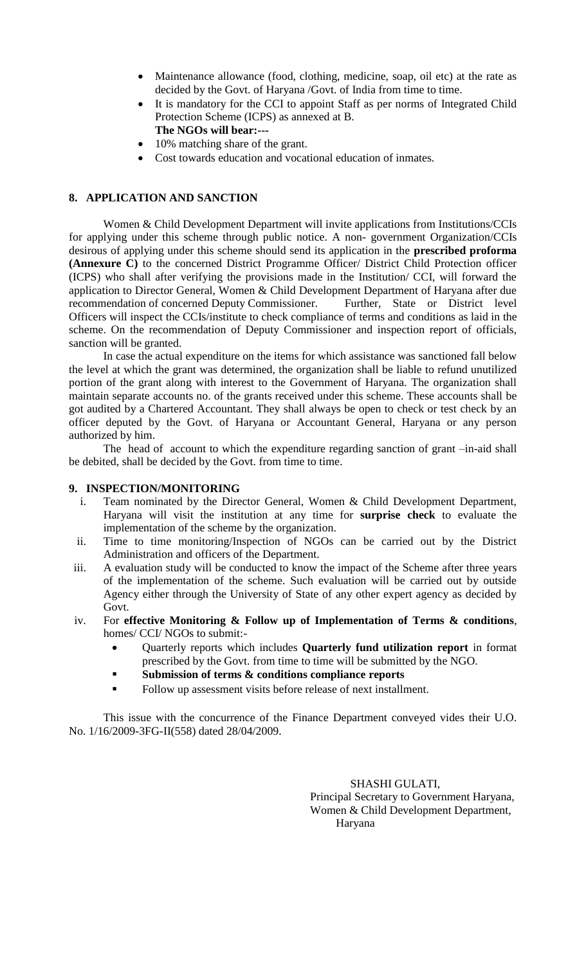- Maintenance allowance (food, clothing, medicine, soap, oil etc) at the rate as decided by the Govt. of Haryana /Govt. of India from time to time.
- It is mandatory for the CCI to appoint Staff as per norms of Integrated Child Protection Scheme (ICPS) as annexed at B. **The NGOs will bear:---**
- 10% matching share of the grant.
- Cost towards education and vocational education of inmates.

# **8. APPLICATION AND SANCTION**

 for applying under this scheme through public notice. A non- government Organization/CCIs  desirous of applying under this scheme should send its application in the **prescribed proforma**  (ICPS) who shall after verifying the provisions made in the Institution/ CCI, will forward the application to Director General, Women & Child Development Department of Haryana after due Officers will inspect the CCIs/institute to check compliance of terms and conditions as laid in the Women & Child Development Department will invite applications from Institutions/CCIs **(Annexure C)** to the concerned District Programme Officer/ District Child Protection officer recommendation of concerned Deputy Commissioner. Further, State or District level scheme. On the recommendation of Deputy Commissioner and inspection report of officials, sanction will be granted.

 the level at which the grant was determined, the organization shall be liable to refund unutilized maintain separate accounts no. of the grants received under this scheme. These accounts shall be got audited by a Chartered Accountant. They shall always be open to check or test check by an officer deputed by the Govt. of Haryana or Accountant General, Haryana or any person In case the actual expenditure on the items for which assistance was sanctioned fall below portion of the grant along with interest to the Government of Haryana. The organization shall authorized by him.

The head of account to which the expenditure regarding sanction of grant –in-aid shall be debited, shall be decided by the Govt. from time to time.

### **9. INSPECTION/MONITORING**

- i. Team nominated by the Director General, Women & Child Development Department, Haryana will visit the institution at any time for **surprise check** to evaluate the implementation of the scheme by the organization.
- ii. Time to time monitoring/Inspection of NGOs can be carried out by the District Administration and officers of the Department.
- iii. A evaluation study will be conducted to know the impact of the Scheme after three years of the implementation of the scheme. Such evaluation will be carried out by outside Agency either through the University of State of any other expert agency as decided by Govt.
- iv. For **effective Monitoring & Follow up of Implementation of Terms & conditions**, homes/ CCI/ NGOs to submit:-
	- Quarterly reports which includes **Quarterly fund utilization report** in format prescribed by the Govt. from time to time will be submitted by the NGO.
	- **Submission of terms & conditions compliance reports**
	- Follow up assessment visits before release of next installment.

This issue with the concurrence of the Finance Department conveyed vides their U.O. No. 1/16/2009-3FG-II(558) dated 28/04/2009.

> SHASHI GULATI, Principal Secretary to Government Haryana, Women & Child Development Department, Haryana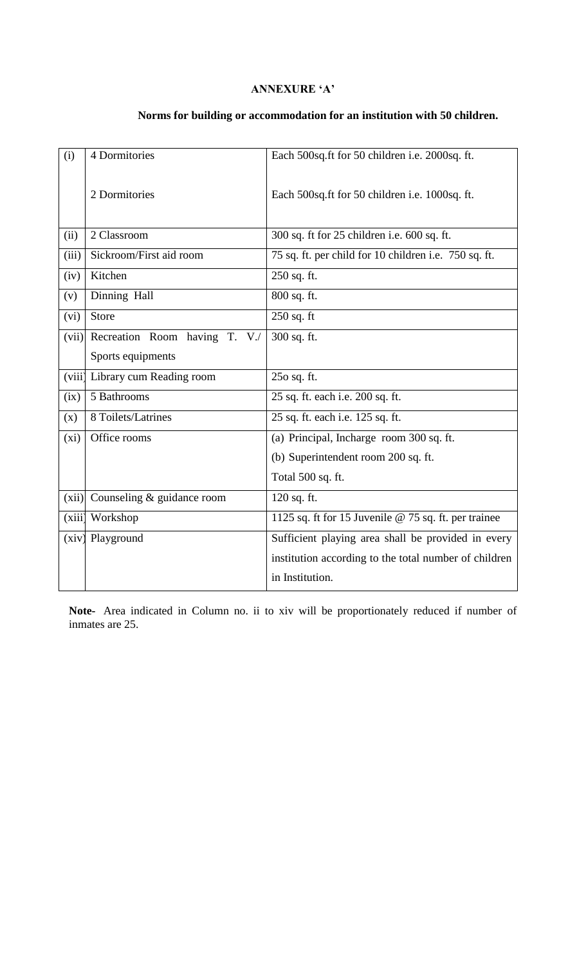# **ANNEXURE 'A'**

# **Norms for building or accommodation for an institution with 50 children.**

| (i)    | 4 Dormitories                   | Each 500sq.ft for 50 children i.e. 2000sq.ft.         |  |  |
|--------|---------------------------------|-------------------------------------------------------|--|--|
|        | 2 Dormitories                   | Each 500sq.ft for 50 children i.e. 1000sq.ft.         |  |  |
| (ii)   | 2 Classroom                     | 300 sq. ft for 25 children i.e. 600 sq. ft.           |  |  |
| (iii)  | Sickroom/First aid room         | 75 sq. ft. per child for 10 children i.e. 750 sq. ft. |  |  |
| (iv)   | Kitchen                         | 250 sq. ft.                                           |  |  |
| (v)    | Dinning Hall                    | 800 sq. ft.                                           |  |  |
| (vi)   | Store                           | $250$ sq. ft                                          |  |  |
| (vii)  | Recreation Room having T. V./   | 300 sq. ft.                                           |  |  |
|        | Sports equipments               |                                                       |  |  |
|        | (viii) Library cum Reading room | 250 sq. ft.                                           |  |  |
| (ix)   | 5 Bathrooms                     | 25 sq. ft. each i.e. 200 sq. ft.                      |  |  |
| (x)    | 8 Toilets/Latrines              | 25 sq. ft. each i.e. 125 sq. ft.                      |  |  |
| (xi)   | Office rooms                    | (a) Principal, Incharge room 300 sq. ft.              |  |  |
|        |                                 | (b) Superintendent room 200 sq. ft.                   |  |  |
|        |                                 | Total 500 sq. ft.                                     |  |  |
| (xii)  | Counseling & guidance room      | 120 sq. ft.                                           |  |  |
| (xiii) | Workshop                        | 1125 sq. ft for 15 Juvenile @ 75 sq. ft. per trainee  |  |  |
|        | (xiv) Playground                | Sufficient playing area shall be provided in every    |  |  |
|        |                                 | institution according to the total number of children |  |  |
|        |                                 | in Institution.                                       |  |  |

 **Note-** Area indicated in Column no. ii to xiv will be proportionately reduced if number of inmates are 25.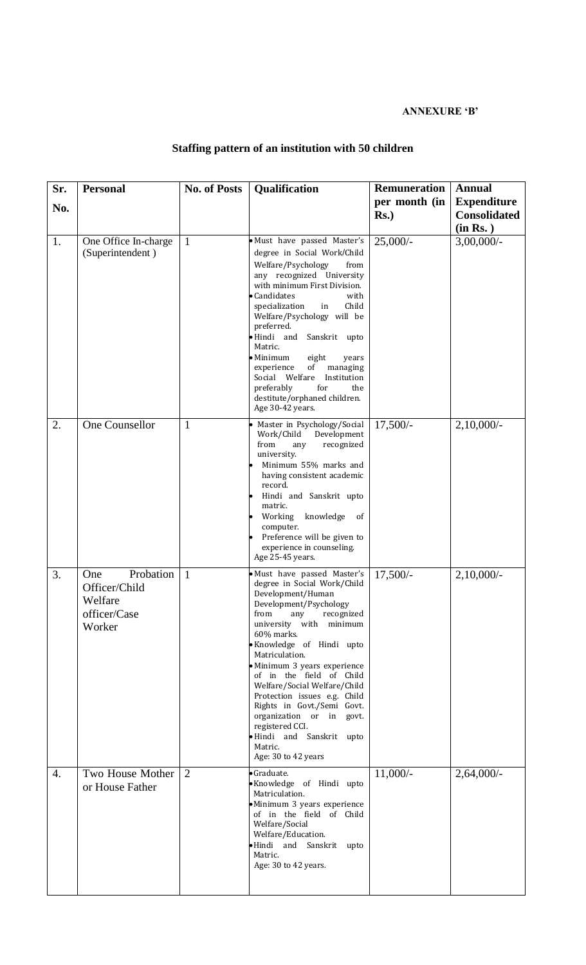# **ANNEXURE 'B'**

#### **Staffing pattern of an institution with 50 children**

| Sr.              | <b>Personal</b>                                                        | <b>No. of Posts</b> | <b>Qualification</b>                                                                                                                                                                                                                                                                                                                                                                                                                                                                                  | <b>Remuneration</b>      | <b>Annual</b>                                         |
|------------------|------------------------------------------------------------------------|---------------------|-------------------------------------------------------------------------------------------------------------------------------------------------------------------------------------------------------------------------------------------------------------------------------------------------------------------------------------------------------------------------------------------------------------------------------------------------------------------------------------------------------|--------------------------|-------------------------------------------------------|
| No.              |                                                                        |                     |                                                                                                                                                                                                                                                                                                                                                                                                                                                                                                       | per month (in<br>$Rs.$ ) | <b>Expenditure</b><br><b>Consolidated</b><br>(in Rs.) |
| 1.               | One Office In-charge<br>(Superintendent)                               | $\mathbf{1}$        | · Must have passed Master's<br>degree in Social Work/Child<br>Welfare/Psychology<br>from<br>any recognized University<br>with minimum First Division.<br>Candidates<br>with<br>Child<br>specialization<br>in<br>Welfare/Psychology will be<br>preferred.<br>·Hindi and<br>Sanskrit upto<br>Matric.<br>$\bullet$ Minimum<br>eight<br>years<br>of<br>managing<br>experience<br>Social Welfare<br>Institution<br>for<br>preferably<br>the<br>destitute/orphaned children.<br>Age 30-42 years.            | $25,000/-$               | $3,00,000/$ -                                         |
| 2.               | One Counsellor                                                         | $\mathbf{1}$        | Master in Psychology/Social<br>Work/Child<br>Development<br>from<br>recognized<br>any<br>university.<br>Minimum 55% marks and<br>having consistent academic<br>record.<br>Hindi and Sanskrit upto<br>matric.<br>knowledge<br>Working<br>of<br>computer.<br>Preference will be given to<br>experience in counseling.<br>Age 25-45 years.                                                                                                                                                               | $17,500/-$               | $2,10,000/-$                                          |
| 3.               | Probation<br>One<br>Officer/Child<br>Welfare<br>officer/Case<br>Worker | $\mathbf{1}$        | · Must have passed Master's<br>degree in Social Work/Child<br>Development/Human<br>Development/Psychology<br>from<br>recognized<br>any<br>university with minimum<br>60% marks.<br>· Knowledge of Hindi upto<br>Matriculation.<br>· Minimum 3 years experience<br>of in the field of Child<br>Welfare/Social Welfare/Child<br>Protection issues e.g. Child<br>Rights in Govt./Semi Govt.<br>organization or in govt.<br>registered CCI.<br>·Hindi and Sanskrit upto<br>Matric.<br>Age: 30 to 42 years | $17,500/-$               | $2,10,000/$ -                                         |
| $\overline{4}$ . | Two House Mother<br>or House Father                                    | $\overline{2}$      | ·Graduate.<br>·Knowledge of Hindi upto<br>Matriculation.<br>·Minimum 3 years experience<br>of in the field of Child<br>Welfare/Social<br>Welfare/Education.<br>·Hindi and Sanskrit upto<br>Matric.<br>Age: 30 to 42 years.                                                                                                                                                                                                                                                                            | $11,000/-$               | $2,64,000/-$                                          |